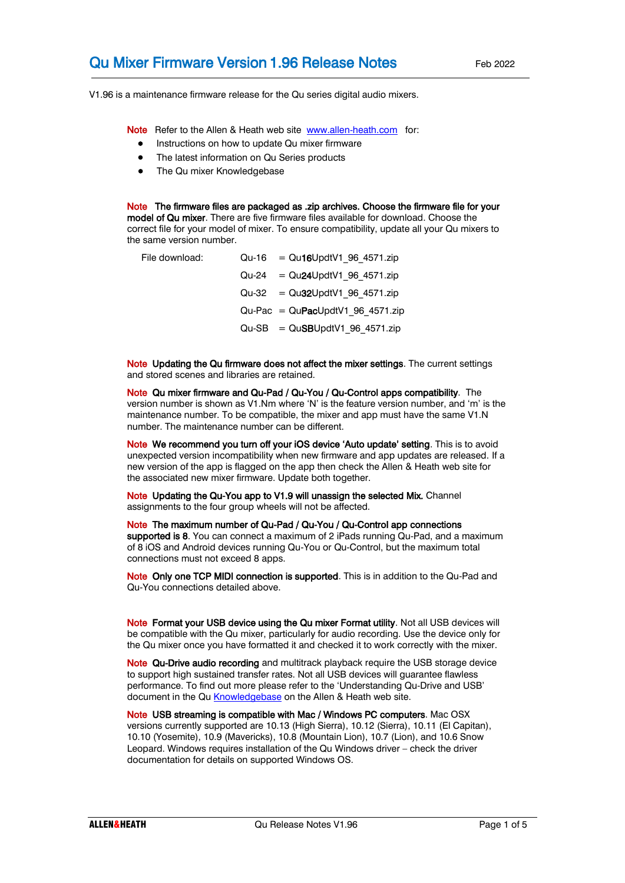V1.96 is a maintenance firmware release for the Qu series digital audio mixers.

Note Refer to the Allen & Heath web site [www.allen-heath.com](http://www.allen-heath.com/) for:

- Instructions on how to update Qu mixer firmware
- The latest information on Qu Series products
- The Qu mixer Knowledgebase

Note The firmware files are packaged as .zip archives. Choose the firmware file for your model of Qu mixer. There are five firmware files available for download. Choose the correct file for your model of mixer. To ensure compatibility, update all your Qu mixers to the same version number.

| File download: | $Qu-16 = Qu16UpdtV1 96 4571 zip$   |
|----------------|------------------------------------|
|                | $Qu-24 = Qu24UpdtV1 96 4571zip$    |
|                | $Qu-32 = Qu32UpdtV1 96 4571zip$    |
|                | $Qu-Pac = QuPacUpdtV1 96 4571 zip$ |
|                | $Qu-SB = QuSBUpdtV1 96 4571 zip$   |

Note Updating the Qu firmware does not affect the mixer settings. The current settings and stored scenes and libraries are retained.

Note Qu mixer firmware and Qu-Pad / Qu-You / Qu-Control apps compatibility. The version number is shown as V1.Nm where 'N' is the feature version number, and 'm' is the maintenance number. To be compatible, the mixer and app must have the same V1.N number. The maintenance number can be different.

Note We recommend you turn off your iOS device 'Auto update' setting. This is to avoid unexpected version incompatibility when new firmware and app updates are released. If a new version of the app is flagged on the app then check the Allen & Heath web site for the associated new mixer firmware. Update both together.

Note Updating the Qu-You app to V1.9 will unassign the selected Mix. Channel assignments to the four group wheels will not be affected.

Note The maximum number of Qu-Pad / Qu-You / Qu-Control app connections supported is 8. You can connect a maximum of 2 iPads running Qu-Pad, and a maximum of 8 iOS and Android devices running Qu-You or Qu-Control, but the maximum total connections must not exceed 8 apps.

Note Only one TCP MIDI connection is supported. This is in addition to the Qu-Pad and Qu-You connections detailed above.

Note Format your USB device using the Qu mixer Format utility. Not all USB devices will be compatible with the Qu mixer, particularly for audio recording. Use the device only for the Qu mixer once you have formatted it and checked it to work correctly with the mixer.

Note Qu-Drive audio recording and multitrack playback require the USB storage device to support high sustained transfer rates. Not all USB devices will guarantee flawless performance. To find out more please refer to the 'Understanding Qu-Drive and USB' document in the Q[u Knowledgebase](http://allen-heath.helpserve.com/default/Knowledgebase/List) on the Allen & Heath web site.

Note USB streaming is compatible with Mac / Windows PC computers. Mac OSX versions currently supported are 10.13 (High Sierra), 10.12 (Sierra), 10.11 (El Capitan), 10.10 (Yosemite), 10.9 (Mavericks), 10.8 (Mountain Lion), 10.7 (Lion), and 10.6 Snow Leopard. Windows requires installation of the Qu Windows driver – check the driver documentation for details on supported Windows OS.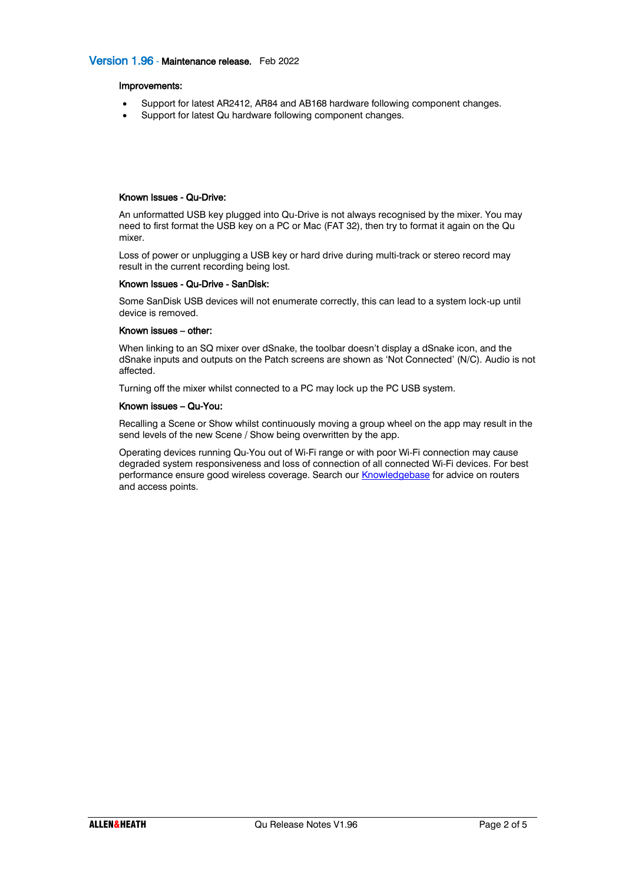## Version 1.96 - Maintenance release. Feb 2022

#### Improvements:

- Support for latest AR2412, AR84 and AB168 hardware following component changes.
- Support for latest Qu hardware following component changes.

#### Known Issues - Qu-Drive:

An unformatted USB key plugged into Qu-Drive is not always recognised by the mixer. You may need to first format the USB key on a PC or Mac (FAT 32), then try to format it again on the Qu mixer.

Loss of power or unplugging a USB key or hard drive during multi-track or stereo record may result in the current recording being lost.

#### Known Issues - Qu-Drive - SanDisk:

Some SanDisk USB devices will not enumerate correctly, this can lead to a system lock-up until device is removed.

#### Known issues – other:

When linking to an SQ mixer over dSnake, the toolbar doesn't display a dSnake icon, and the dSnake inputs and outputs on the Patch screens are shown as 'Not Connected' (N/C). Audio is not affected.

Turning off the mixer whilst connected to a PC may lock up the PC USB system.

#### Known issues – Qu-You:

Recalling a Scene or Show whilst continuously moving a group wheel on the app may result in the send levels of the new Scene / Show being overwritten by the app.

Operating devices running Qu-You out of Wi-Fi range or with poor Wi-Fi connection may cause degraded system responsiveness and loss of connection of all connected Wi-Fi devices. For best performance ensure good wireless coverage. Search our **Knowledgebase** for advice on routers and access points.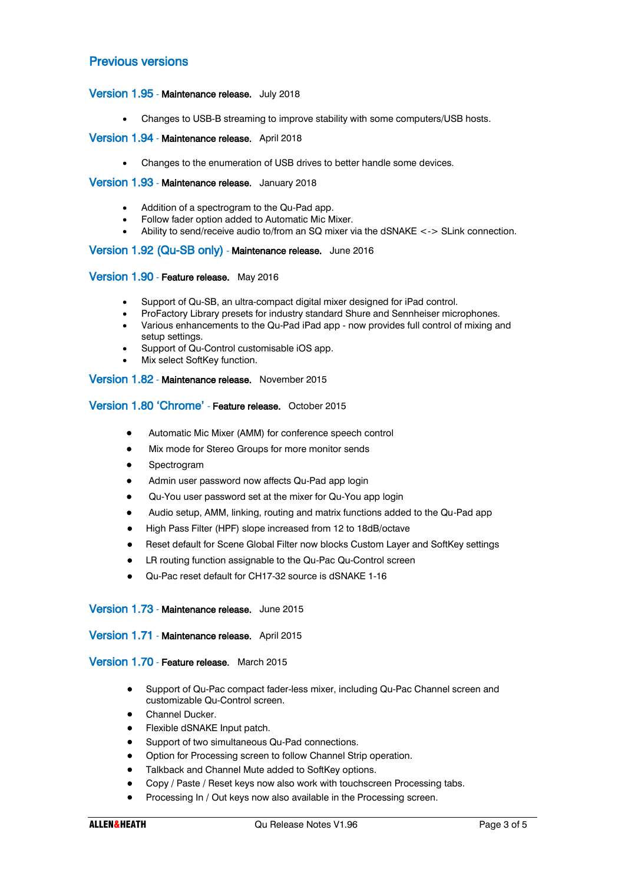# Previous versions

## Version 1.95 - Maintenance release. July 2018

• Changes to USB-B streaming to improve stability with some computers/USB hosts.

#### Version 1.94 - Maintenance release. April 2018

• Changes to the enumeration of USB drives to better handle some devices.

#### Version 1.93 - Maintenance release. January 2018

- Addition of a spectrogram to the Qu-Pad app.
- Follow fader option added to Automatic Mic Mixer.
- Ability to send/receive audio to/from an SQ mixer via the dSNAKE <-> SLink connection.

## Version 1.92 (Qu-SB only) - Maintenance release. June 2016

#### Version 1.90 - Feature release. May 2016

- Support of Qu-SB, an ultra-compact digital mixer designed for iPad control.
- ProFactory Library presets for industry standard Shure and Sennheiser microphones.
- Various enhancements to the Qu-Pad iPad app now provides full control of mixing and setup settings.
- Support of Qu-Control customisable iOS app.
- Mix select SoftKey function.

## Version 1.82 - Maintenance release. November 2015

# Version 1.80 'Chrome' - Feature release. October 2015

- Automatic Mic Mixer (AMM) for conference speech control
- Mix mode for Stereo Groups for more monitor sends
- **Spectrogram**
- Admin user password now affects Qu-Pad app login
- Qu-You user password set at the mixer for Qu-You app login
- Audio setup, AMM, linking, routing and matrix functions added to the Qu-Pad app
- High Pass Filter (HPF) slope increased from 12 to 18dB/octave
- Reset default for Scene Global Filter now blocks Custom Layer and SoftKey settings
- LR routing function assignable to the Qu-Pac Qu-Control screen
- Qu-Pac reset default for CH17-32 source is dSNAKE 1-16

#### Version 1.73 - Maintenance release. June 2015

#### Version 1.71 - Maintenance release. April 2015

#### Version 1.70 - Feature release. March 2015

- Support of Qu-Pac compact fader-less mixer, including Qu-Pac Channel screen and customizable Qu-Control screen.
- Channel Ducker.
- Flexible dSNAKE Input patch.
- Support of two simultaneous Qu-Pad connections.
- Option for Processing screen to follow Channel Strip operation.
- Talkback and Channel Mute added to SoftKey options.
- Copy / Paste / Reset keys now also work with touchscreen Processing tabs.
- Processing In / Out keys now also available in the Processing screen.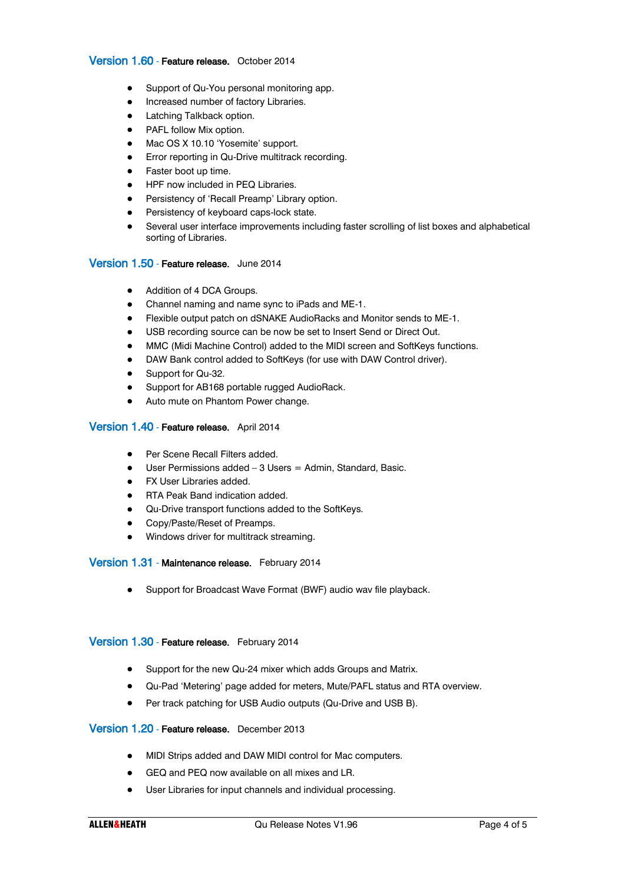## Version 1.60 - Feature release. October 2014

- Support of Qu-You personal monitoring app.
- Increased number of factory Libraries.
- Latching Talkback option.
- PAFL follow Mix option.
- Mac OS X 10.10 'Yosemite' support.
- Error reporting in Qu-Drive multitrack recording.
- Faster boot up time.
- HPF now included in PEQ Libraries.
- Persistency of 'Recall Preamp' Library option.
- Persistency of keyboard caps-lock state.
- Several user interface improvements including faster scrolling of list boxes and alphabetical sorting of Libraries.

## Version 1.50 - Feature release. June 2014

- Addition of 4 DCA Groups.
- Channel naming and name sync to iPads and ME-1.
- Flexible output patch on dSNAKE AudioRacks and Monitor sends to ME-1.
- USB recording source can be now be set to Insert Send or Direct Out.
- MMC (Midi Machine Control) added to the MIDI screen and SoftKeys functions.
- DAW Bank control added to SoftKeys (for use with DAW Control driver).
- Support for Qu-32.
- Support for AB168 portable rugged AudioRack.
- Auto mute on Phantom Power change.

## Version 1.40 - Feature release. April 2014

- Per Scene Recall Filters added.
- $\bullet$  User Permissions added  $-3$  Users  $=$  Admin, Standard, Basic.
- FX User Libraries added.
- RTA Peak Band indication added.
- Qu-Drive transport functions added to the SoftKeys.
- Copy/Paste/Reset of Preamps.
- Windows driver for multitrack streaming.

## Version 1.31 - Maintenance release. February 2014

• Support for Broadcast Wave Format (BWF) audio wav file playback.

## Version 1.30 - Feature release. February 2014

- Support for the new Qu-24 mixer which adds Groups and Matrix.
- Qu-Pad 'Metering' page added for meters, Mute/PAFL status and RTA overview.
- Per track patching for USB Audio outputs (Qu-Drive and USB B).

## Version 1.20 - Feature release. December 2013

- MIDI Strips added and DAW MIDI control for Mac computers.
- GEQ and PEQ now available on all mixes and LR.
- User Libraries for input channels and individual processing.